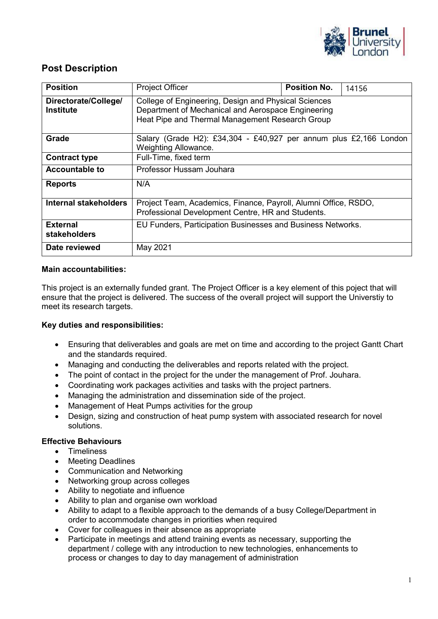

## **Post Description**

| <b>Position</b>                          | <b>Project Officer</b>                                                                                                                                        | <b>Position No.</b> | 14156 |  |  |
|------------------------------------------|---------------------------------------------------------------------------------------------------------------------------------------------------------------|---------------------|-------|--|--|
| Directorate/College/<br><b>Institute</b> | College of Engineering, Design and Physical Sciences<br>Department of Mechanical and Aerospace Engineering<br>Heat Pipe and Thermal Management Research Group |                     |       |  |  |
| Grade                                    | Salary (Grade H2): £34,304 - £40,927 per annum plus £2,166 London<br>Weighting Allowance.                                                                     |                     |       |  |  |
| <b>Contract type</b>                     | Full-Time, fixed term                                                                                                                                         |                     |       |  |  |
| <b>Accountable to</b>                    | Professor Hussam Jouhara                                                                                                                                      |                     |       |  |  |
| <b>Reports</b>                           | N/A                                                                                                                                                           |                     |       |  |  |
| <b>Internal stakeholders</b>             | Project Team, Academics, Finance, Payroll, Alumni Office, RSDO,<br>Professional Development Centre, HR and Students.                                          |                     |       |  |  |
| <b>External</b><br><b>stakeholders</b>   | EU Funders, Participation Businesses and Business Networks.                                                                                                   |                     |       |  |  |
| Date reviewed                            | May 2021                                                                                                                                                      |                     |       |  |  |

#### **Main accountabilities:**

This project is an externally funded grant. The Project Officer is a key element of this poject that will ensure that the project is delivered. The success of the overall project will support the Universtiy to meet its research targets.

#### **Key duties and responsibilities:**

- Ensuring that deliverables and goals are met on time and according to the project Gantt Chart and the standards required.
- Managing and conducting the deliverables and reports related with the project.
- The point of contact in the project for the under the management of Prof. Jouhara.
- Coordinating work packages activities and tasks with the project partners.
- Managing the administration and dissemination side of the project.
- Management of Heat Pumps activities for the group
- Design, sizing and construction of heat pump system with associated research for novel solutions.

#### **Effective Behaviours**

- Timeliness
- Meeting Deadlines
- Communication and Networking
- Networking group across colleges
- Ability to negotiate and influence
- Ability to plan and organise own workload
- Ability to adapt to a flexible approach to the demands of a busy College/Department in order to accommodate changes in priorities when required
- Cover for colleagues in their absence as appropriate
- Participate in meetings and attend training events as necessary, supporting the department / college with any introduction to new technologies, enhancements to process or changes to day to day management of administration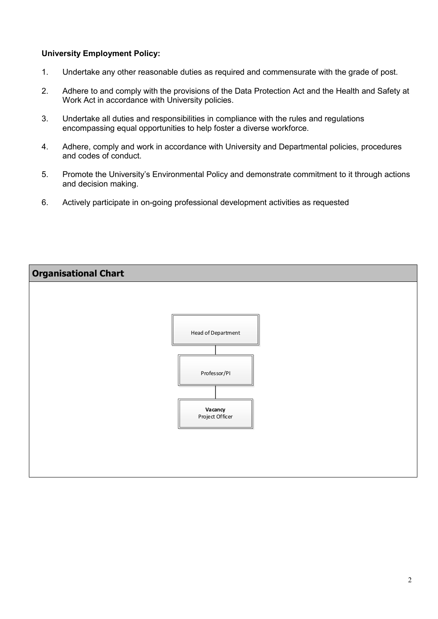### **University Employment Policy:**

- 1. Undertake any other reasonable duties as required and commensurate with the grade of post.
- 2. Adhere to and comply with the provisions of the Data Protection Act and the Health and Safety at Work Act in accordance with University policies.
- 3. Undertake all duties and responsibilities in compliance with the rules and regulations encompassing equal opportunities to help foster a diverse workforce.
- 4. Adhere, comply and work in accordance with University and Departmental policies, procedures and codes of conduct.
- 5. Promote the University's Environmental Policy and demonstrate commitment to it through actions and decision making.
- 6. Actively participate in on-going professional development activities as requested

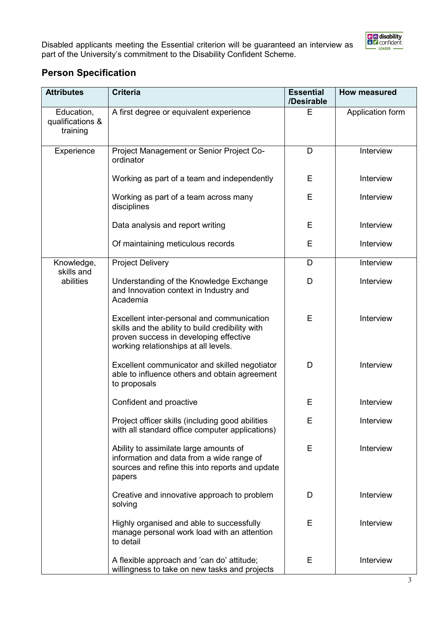

Disabled applicants meeting the Essential criterion will be guaranteed an interview as part of the University's commitment to the Disability Confident Scheme.

# **Person Specification**

| <b>Attributes</b>                          | <b>Criteria</b>                                                                                                                                                                  | <b>Essential</b><br>/Desirable | <b>How measured</b> |
|--------------------------------------------|----------------------------------------------------------------------------------------------------------------------------------------------------------------------------------|--------------------------------|---------------------|
| Education,<br>qualifications &<br>training | A first degree or equivalent experience                                                                                                                                          | E                              | Application form    |
| Experience                                 | Project Management or Senior Project Co-<br>ordinator                                                                                                                            | D                              | Interview           |
|                                            | Working as part of a team and independently                                                                                                                                      | E                              | Interview           |
|                                            | Working as part of a team across many<br>disciplines                                                                                                                             | E                              | Interview           |
|                                            | Data analysis and report writing                                                                                                                                                 | E                              | Interview           |
|                                            | Of maintaining meticulous records                                                                                                                                                | Е                              | Interview           |
| Knowledge,<br>skills and                   | <b>Project Delivery</b>                                                                                                                                                          | D                              | Interview           |
| abilities                                  | Understanding of the Knowledge Exchange<br>and Innovation context in Industry and<br>Academia                                                                                    | D                              | Interview           |
|                                            | Excellent inter-personal and communication<br>skills and the ability to build credibility with<br>proven success in developing effective<br>working relationships at all levels. | E                              | Interview           |
|                                            | Excellent communicator and skilled negotiator<br>able to influence others and obtain agreement<br>to proposals                                                                   | D                              | Interview           |
|                                            | Confident and proactive                                                                                                                                                          | E                              | Interview           |
|                                            | Project officer skills (including good abilities<br>with all standard office computer applications)                                                                              | Е                              | Interview           |
|                                            | Ability to assimilate large amounts of<br>information and data from a wide range of<br>sources and refine this into reports and update<br>papers                                 | E                              | Interview           |
|                                            | Creative and innovative approach to problem<br>solving                                                                                                                           | D                              | Interview           |
|                                            | Highly organised and able to successfully<br>manage personal work load with an attention<br>to detail                                                                            | Е                              | Interview           |
|                                            | A flexible approach and 'can do' attitude;<br>willingness to take on new tasks and projects                                                                                      | E                              | Interview           |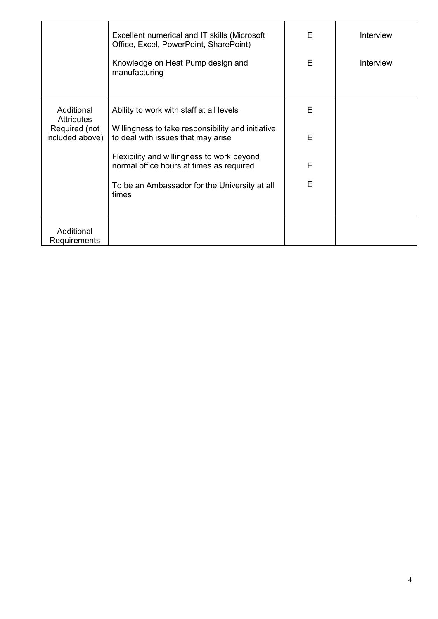|                                  | Excellent numerical and IT skills (Microsoft<br>Office, Excel, PowerPoint, SharePoint)  | E | Interview        |
|----------------------------------|-----------------------------------------------------------------------------------------|---|------------------|
|                                  | Knowledge on Heat Pump design and<br>manufacturing                                      | E | <b>Interview</b> |
| Additional<br><b>Attributes</b>  | Ability to work with staff at all levels                                                | E |                  |
| Required (not<br>included above) | Willingness to take responsibility and initiative<br>to deal with issues that may arise | E |                  |
|                                  | Flexibility and willingness to work beyond<br>normal office hours at times as required  | E |                  |
|                                  | To be an Ambassador for the University at all<br>times                                  | E |                  |
| Additional<br>Requirements       |                                                                                         |   |                  |